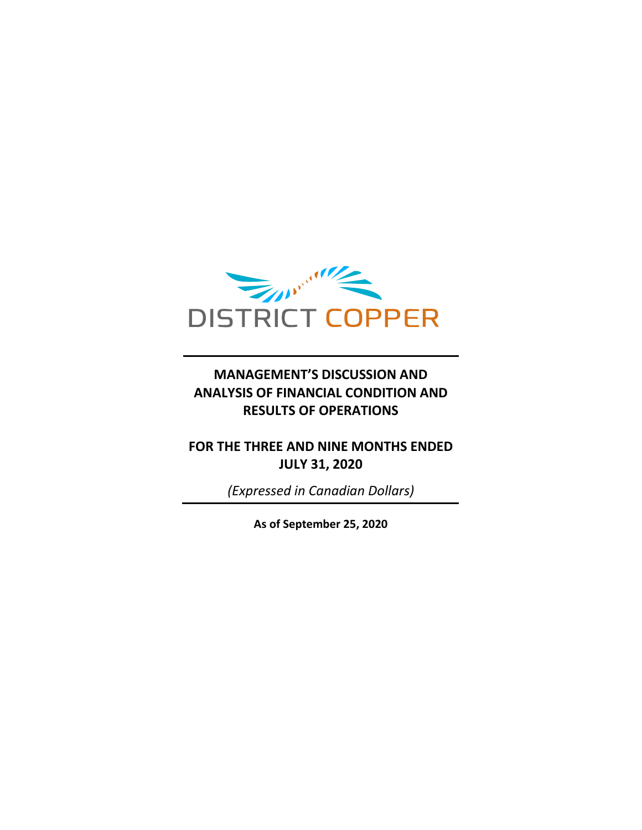

### **MANAGEMENT'S DISCUSSION AND ANALYSIS OF FINANCIAL CONDITION AND RESULTS OF OPERATIONS**

### **FOR THE THREE AND NINE MONTHS ENDED JULY 31, 2020**

*(Expressed in Canadian Dollars)*

**As of September 25, 2020**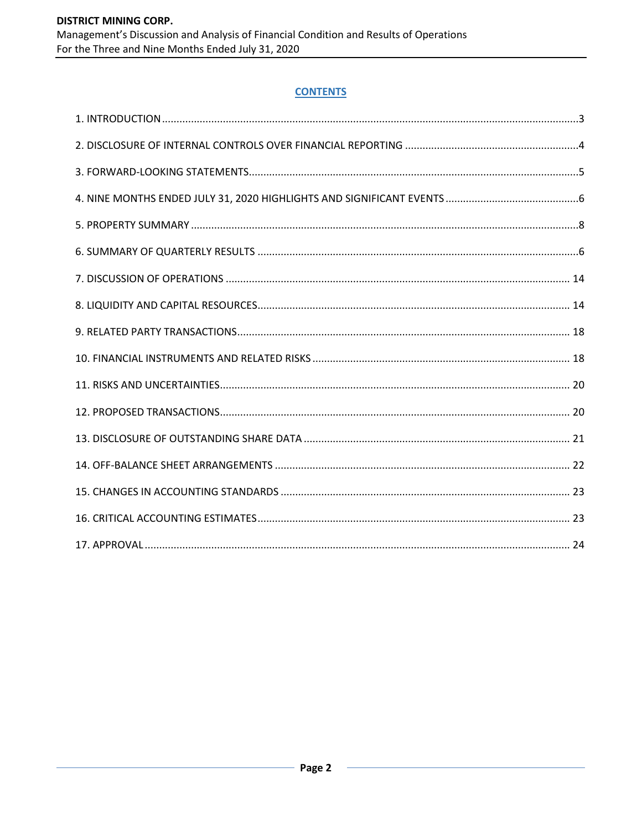### **CONTENTS**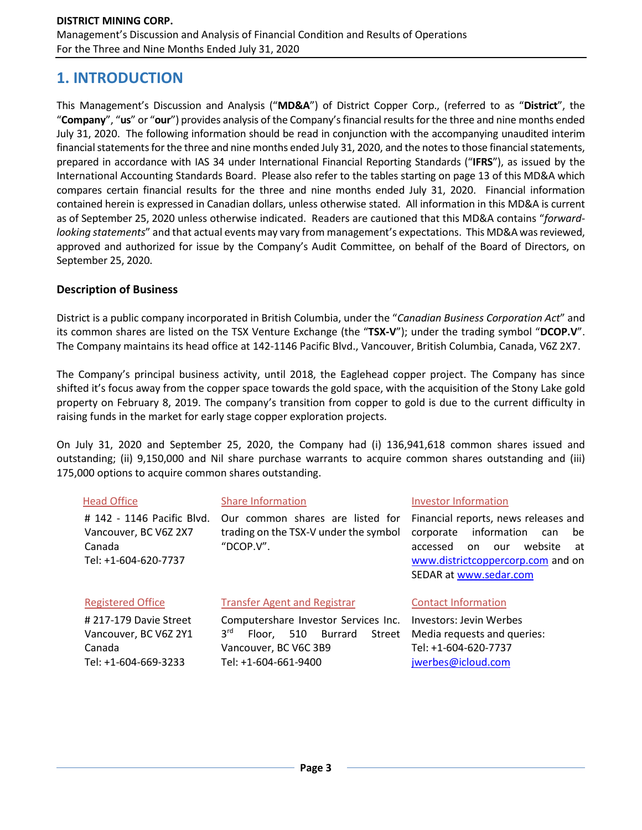## **1. INTRODUCTION**

This Management's Discussion and Analysis ("**MD&A**") of District Copper Corp., (referred to as "**District**", the "**Company**", "**us**" or "**our**") provides analysis of the Company's financial results for the three and nine months ended July 31, 2020. The following information should be read in conjunction with the accompanying unaudited interim financial statements for the three and nine months ended July 31, 2020, and the notes to those financial statements, prepared in accordance with IAS 34 under International Financial Reporting Standards ("**IFRS**"), as issued by the International Accounting Standards Board. Please also refer to the tables starting on page 13 of this MD&A which compares certain financial results for the three and nine months ended July 31, 2020. Financial information contained herein is expressed in Canadian dollars, unless otherwise stated. All information in this MD&A is current as of September 25, 2020 unless otherwise indicated. Readers are cautioned that this MD&A contains "*forwardlooking statements*" and that actual events may vary from management's expectations. This MD&A was reviewed, approved and authorized for issue by the Company's Audit Committee, on behalf of the Board of Directors, on September 25, 2020.

### **Description of Business**

District is a public company incorporated in British Columbia, under the "*Canadian Business Corporation Act*" and its common shares are listed on the TSX Venture Exchange (the "**TSX-V**"); under the trading symbol "**DCOP.V**". The Company maintains its head office at 142-1146 Pacific Blvd., Vancouver, British Columbia, Canada, V6Z 2X7.

The Company's principal business activity, until 2018, the Eaglehead copper project. The Company has since shifted it's focus away from the copper space towards the gold space, with the acquisition of the Stony Lake gold property on February 8, 2019. The company's transition from copper to gold is due to the current difficulty in raising funds in the market for early stage copper exploration projects.

On July 31, 2020 and September 25, 2020, the Company had (i) 136,941,618 common shares issued and outstanding; (ii) 9,150,000 and Nil share purchase warrants to acquire common shares outstanding and (iii) 175,000 options to acquire common shares outstanding.

| <b>Head Office</b>                                                                    | <b>Share Information</b>                                                                                                                              | <b>Investor Information</b>                                                                                                                                                            |
|---------------------------------------------------------------------------------------|-------------------------------------------------------------------------------------------------------------------------------------------------------|----------------------------------------------------------------------------------------------------------------------------------------------------------------------------------------|
| # 142 - 1146 Pacific Blvd.<br>Vancouver, BC V6Z 2X7<br>Canada<br>Tel: +1-604-620-7737 | Our common shares are listed for<br>trading on the TSX-V under the symbol<br>"DCOP.V".                                                                | Financial reports, news releases and<br>information<br>corporate<br>be<br>can<br>website<br>accessed<br>on<br>our<br>at<br>www.districtcoppercorp.com and on<br>SEDAR at www.sedar.com |
| <b>Registered Office</b>                                                              | <b>Transfer Agent and Registrar</b>                                                                                                                   | <b>Contact Information</b>                                                                                                                                                             |
| #217-179 Davie Street<br>Vancouver, BC V6Z 2Y1<br>Canada<br>Tel: +1-604-669-3233      | Computershare Investor Services Inc.<br>3 <sup>rd</sup><br><b>Burrard</b><br>510<br>Street<br>Floor.<br>Vancouver, BC V6C 3B9<br>Tel: +1-604-661-9400 | Investors: Jevin Werbes<br>Media requests and queries:<br>Tel: +1-604-620-7737<br>jwerbes@icloud.com                                                                                   |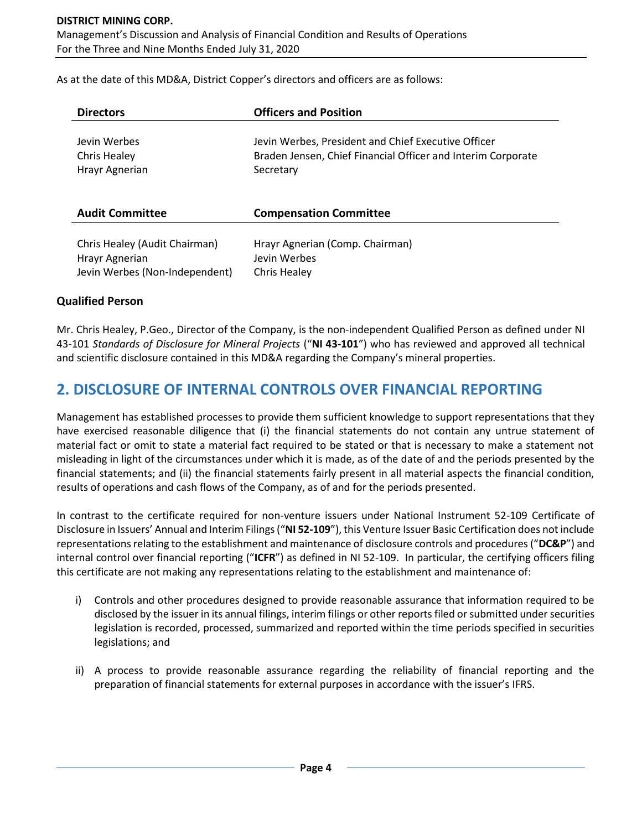As at the date of this MD&A, District Copper's directors and officers are as follows:

| <b>Directors</b>               | <b>Officers and Position</b>                                 |
|--------------------------------|--------------------------------------------------------------|
| Jevin Werbes                   | Jevin Werbes, President and Chief Executive Officer          |
| Chris Healey                   | Braden Jensen, Chief Financial Officer and Interim Corporate |
| Hrayr Agnerian                 | Secretary                                                    |
| <b>Audit Committee</b>         | <b>Compensation Committee</b>                                |
| Chris Healey (Audit Chairman)  | Hrayr Agnerian (Comp. Chairman)                              |
| Hrayr Agnerian                 | Jevin Werbes                                                 |
| Jevin Werbes (Non-Independent) | Chris Healey                                                 |

### **Qualified Person**

Mr. Chris Healey, P.Geo., Director of the Company, is the non-independent Qualified Person as defined under NI 43-101 *Standards of Disclosure for Mineral Projects* ("**NI 43-101**") who has reviewed and approved all technical and scientific disclosure contained in this MD&A regarding the Company's mineral properties.

### **2. DISCLOSURE OF INTERNAL CONTROLS OVER FINANCIAL REPORTING**

Management has established processes to provide them sufficient knowledge to support representations that they have exercised reasonable diligence that (i) the financial statements do not contain any untrue statement of material fact or omit to state a material fact required to be stated or that is necessary to make a statement not misleading in light of the circumstances under which it is made, as of the date of and the periods presented by the financial statements; and (ii) the financial statements fairly present in all material aspects the financial condition, results of operations and cash flows of the Company, as of and for the periods presented.

In contrast to the certificate required for non-venture issuers under National Instrument 52-109 Certificate of Disclosure in Issuers' Annual and Interim Filings ("**NI 52-109**"), this Venture Issuer Basic Certification does not include representations relating to the establishment and maintenance of disclosure controls and procedures ("**DC&P**") and internal control over financial reporting ("**ICFR**") as defined in NI 52-109. In particular, the certifying officers filing this certificate are not making any representations relating to the establishment and maintenance of:

- i) Controls and other procedures designed to provide reasonable assurance that information required to be disclosed by the issuer in its annual filings, interim filings or other reports filed or submitted under securities legislation is recorded, processed, summarized and reported within the time periods specified in securities legislations; and
- ii) A process to provide reasonable assurance regarding the reliability of financial reporting and the preparation of financial statements for external purposes in accordance with the issuer's IFRS.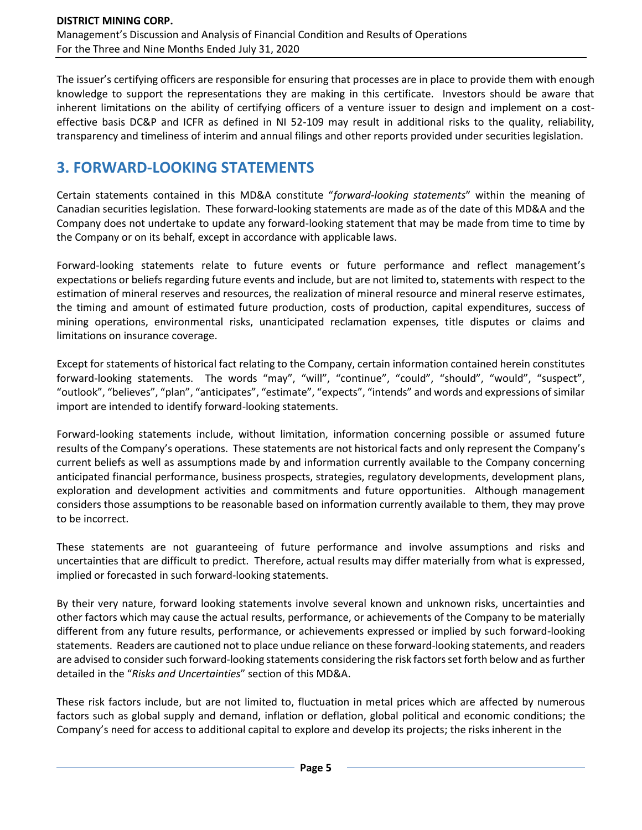The issuer's certifying officers are responsible for ensuring that processes are in place to provide them with enough knowledge to support the representations they are making in this certificate. Investors should be aware that inherent limitations on the ability of certifying officers of a venture issuer to design and implement on a costeffective basis DC&P and ICFR as defined in NI 52-109 may result in additional risks to the quality, reliability, transparency and timeliness of interim and annual filings and other reports provided under securities legislation.

# **3. FORWARD-LOOKING STATEMENTS**

Certain statements contained in this MD&A constitute "*forward-looking statements*" within the meaning of Canadian securities legislation. These forward-looking statements are made as of the date of this MD&A and the Company does not undertake to update any forward-looking statement that may be made from time to time by the Company or on its behalf, except in accordance with applicable laws.

Forward-looking statements relate to future events or future performance and reflect management's expectations or beliefs regarding future events and include, but are not limited to, statements with respect to the estimation of mineral reserves and resources, the realization of mineral resource and mineral reserve estimates, the timing and amount of estimated future production, costs of production, capital expenditures, success of mining operations, environmental risks, unanticipated reclamation expenses, title disputes or claims and limitations on insurance coverage.

Except for statements of historical fact relating to the Company, certain information contained herein constitutes forward-looking statements. The words "may", "will", "continue", "could", "should", "would", "suspect", "outlook", "believes", "plan", "anticipates", "estimate", "expects", "intends" and words and expressions of similar import are intended to identify forward-looking statements.

Forward-looking statements include, without limitation, information concerning possible or assumed future results of the Company's operations. These statements are not historical facts and only represent the Company's current beliefs as well as assumptions made by and information currently available to the Company concerning anticipated financial performance, business prospects, strategies, regulatory developments, development plans, exploration and development activities and commitments and future opportunities. Although management considers those assumptions to be reasonable based on information currently available to them, they may prove to be incorrect.

These statements are not guaranteeing of future performance and involve assumptions and risks and uncertainties that are difficult to predict. Therefore, actual results may differ materially from what is expressed, implied or forecasted in such forward-looking statements.

By their very nature, forward looking statements involve several known and unknown risks, uncertainties and other factors which may cause the actual results, performance, or achievements of the Company to be materially different from any future results, performance, or achievements expressed or implied by such forward-looking statements. Readers are cautioned not to place undue reliance on these forward-looking statements, and readers are advised to consider such forward-looking statements considering the risk factors set forth below and as further detailed in the "*Risks and Uncertainties*" section of this MD&A.

These risk factors include, but are not limited to, fluctuation in metal prices which are affected by numerous factors such as global supply and demand, inflation or deflation, global political and economic conditions; the Company's need for access to additional capital to explore and develop its projects; the risks inherent in the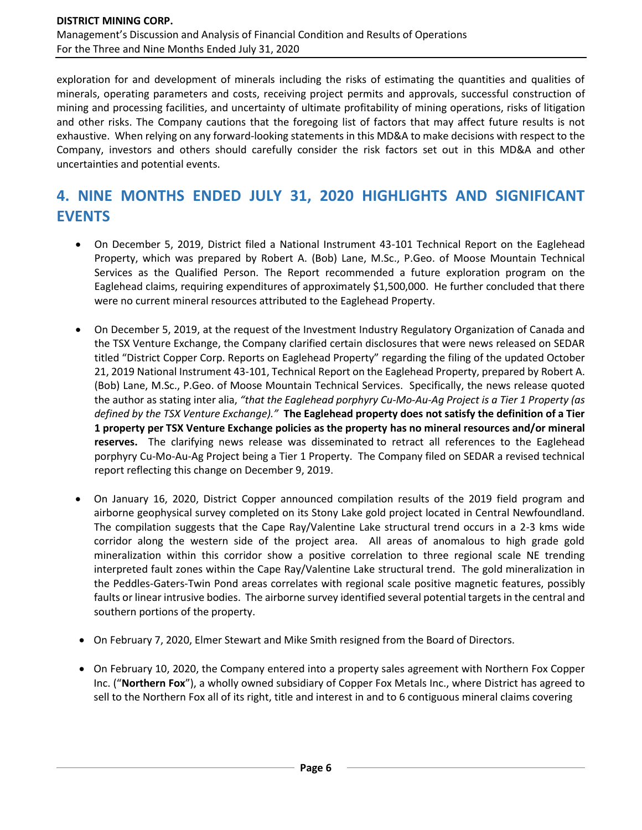exploration for and development of minerals including the risks of estimating the quantities and qualities of minerals, operating parameters and costs, receiving project permits and approvals, successful construction of mining and processing facilities, and uncertainty of ultimate profitability of mining operations, risks of litigation and other risks. The Company cautions that the foregoing list of factors that may affect future results is not exhaustive. When relying on any forward-looking statements in this MD&A to make decisions with respect to the Company, investors and others should carefully consider the risk factors set out in this MD&A and other uncertainties and potential events.

# **4. NINE MONTHS ENDED JULY 31, 2020 HIGHLIGHTS AND SIGNIFICANT EVENTS**

- On December 5, 2019, District filed a National Instrument 43-101 Technical Report on the Eaglehead Property, which was prepared by Robert A. (Bob) Lane, M.Sc., P.Geo. of Moose Mountain Technical Services as the Qualified Person. The Report recommended a future exploration program on the Eaglehead claims, requiring expenditures of approximately \$1,500,000. He further concluded that there were no current mineral resources attributed to the Eaglehead Property.
- On December 5, 2019, at the request of the Investment Industry Regulatory Organization of Canada and the TSX Venture Exchange, the Company clarified certain disclosures that were news released on SEDAR titled "District Copper Corp. Reports on Eaglehead Property" regarding the filing of the updated October 21, 2019 National Instrument 43-101, Technical Report on the Eaglehead Property, prepared by Robert A. (Bob) Lane, M.Sc., P.Geo. of Moose Mountain Technical Services. Specifically, the news release quoted the author as stating inter alia, *"that the Eaglehead porphyry Cu-Mo-Au-Ag Project is a Tier 1 Property (as defined by the TSX Venture Exchange)."* **The Eaglehead property does not satisfy the definition of a Tier 1 property per TSX Venture Exchange policies as the property has no mineral resources and/or mineral reserves.** The clarifying news release was disseminated to retract all references to the Eaglehead porphyry Cu-Mo-Au-Ag Project being a Tier 1 Property. The Company filed on SEDAR a revised technical report reflecting this change on December 9, 2019.
- On January 16, 2020, District Copper announced compilation results of the 2019 field program and airborne geophysical survey completed on its Stony Lake gold project located in Central Newfoundland. The compilation suggests that the Cape Ray/Valentine Lake structural trend occurs in a 2-3 kms wide corridor along the western side of the project area. All areas of anomalous to high grade gold mineralization within this corridor show a positive correlation to three regional scale NE trending interpreted fault zones within the Cape Ray/Valentine Lake structural trend. The gold mineralization in the Peddles-Gaters-Twin Pond areas correlates with regional scale positive magnetic features, possibly faults or linear intrusive bodies. The airborne survey identified several potential targets in the central and southern portions of the property.
- On February 7, 2020, Elmer Stewart and Mike Smith resigned from the Board of Directors.
- On February 10, 2020, the Company entered into a property sales agreement with Northern Fox Copper Inc. ("**Northern Fox**"), a wholly owned subsidiary of Copper Fox Metals Inc., where District has agreed to sell to the Northern Fox all of its right, title and interest in and to 6 contiguous mineral claims covering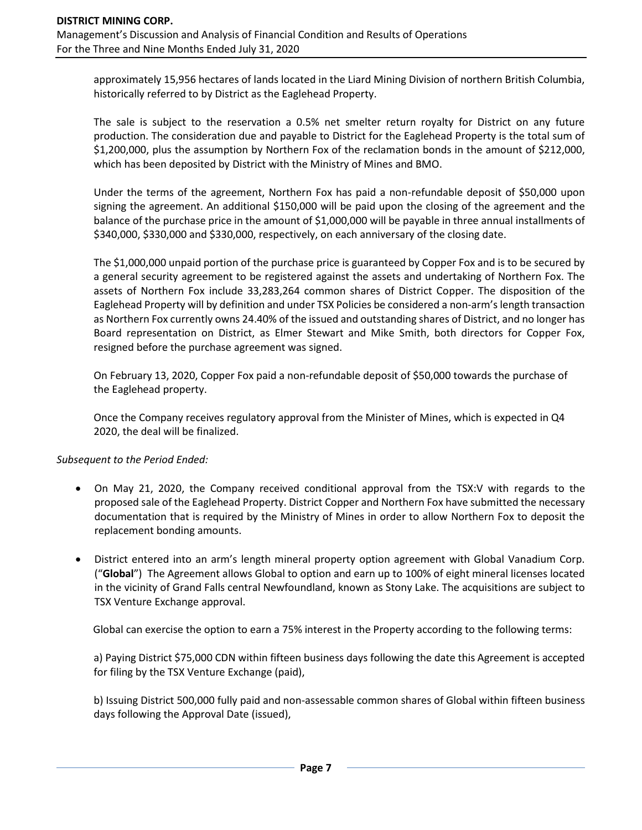approximately 15,956 hectares of lands located in the Liard Mining Division of northern British Columbia, historically referred to by District as the Eaglehead Property.

The sale is subject to the reservation a 0.5% net smelter return royalty for District on any future production. The consideration due and payable to District for the Eaglehead Property is the total sum of \$1,200,000, plus the assumption by Northern Fox of the reclamation bonds in the amount of \$212,000, which has been deposited by District with the Ministry of Mines and BMO.

Under the terms of the agreement, Northern Fox has paid a non-refundable deposit of \$50,000 upon signing the agreement. An additional \$150,000 will be paid upon the closing of the agreement and the balance of the purchase price in the amount of \$1,000,000 will be payable in three annual installments of \$340,000, \$330,000 and \$330,000, respectively, on each anniversary of the closing date.

The \$1,000,000 unpaid portion of the purchase price is guaranteed by Copper Fox and is to be secured by a general security agreement to be registered against the assets and undertaking of Northern Fox. The assets of Northern Fox include 33,283,264 common shares of District Copper. The disposition of the Eaglehead Property will by definition and under TSX Policies be considered a non-arm's length transaction as Northern Fox currently owns 24.40% of the issued and outstanding shares of District, and no longer has Board representation on District, as Elmer Stewart and Mike Smith, both directors for Copper Fox, resigned before the purchase agreement was signed.

On February 13, 2020, Copper Fox paid a non-refundable deposit of \$50,000 towards the purchase of the Eaglehead property.

Once the Company receives regulatory approval from the Minister of Mines, which is expected in Q4 2020, the deal will be finalized.

### *Subsequent to the Period Ended:*

- On May 21, 2020, the Company received conditional approval from the TSX:V with regards to the proposed sale of the Eaglehead Property. District Copper and Northern Fox have submitted the necessary documentation that is required by the Ministry of Mines in order to allow Northern Fox to deposit the replacement bonding amounts.
- District entered into an arm's length mineral property option agreement with Global Vanadium Corp. ("**Global**") The Agreement allows Global to option and earn up to 100% of eight mineral licenses located in the vicinity of Grand Falls central Newfoundland, known as Stony Lake. The acquisitions are subject to TSX Venture Exchange approval.

Global can exercise the option to earn a 75% interest in the Property according to the following terms:

a) Paying District \$75,000 CDN within fifteen business days following the date this Agreement is accepted for filing by the TSX Venture Exchange (paid),

b) Issuing District 500,000 fully paid and non-assessable common shares of Global within fifteen business days following the Approval Date (issued),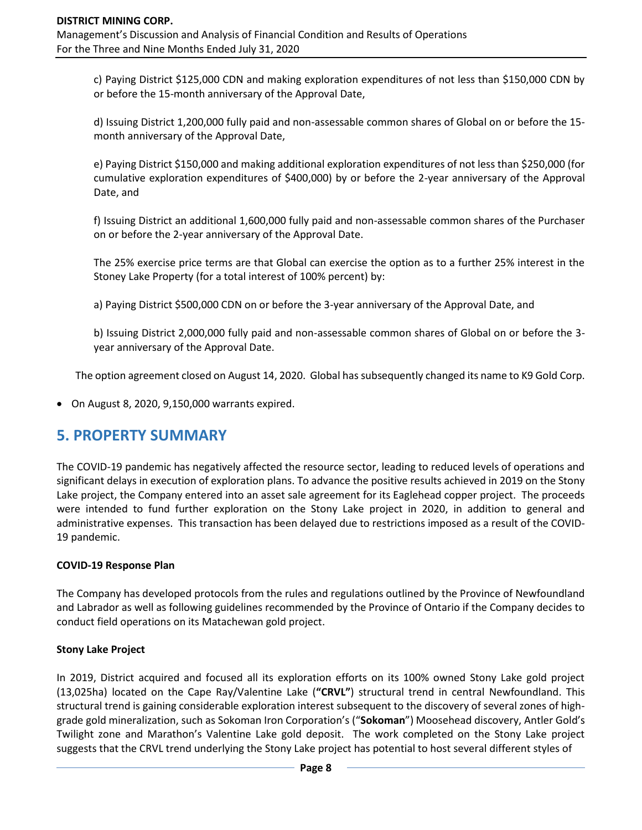c) Paying District \$125,000 CDN and making exploration expenditures of not less than \$150,000 CDN by or before the 15-month anniversary of the Approval Date,

d) Issuing District 1,200,000 fully paid and non-assessable common shares of Global on or before the 15 month anniversary of the Approval Date,

e) Paying District \$150,000 and making additional exploration expenditures of not less than \$250,000 (for cumulative exploration expenditures of \$400,000) by or before the 2-year anniversary of the Approval Date, and

f) Issuing District an additional 1,600,000 fully paid and non-assessable common shares of the Purchaser on or before the 2-year anniversary of the Approval Date.

The 25% exercise price terms are that Global can exercise the option as to a further 25% interest in the Stoney Lake Property (for a total interest of 100% percent) by:

a) Paying District \$500,000 CDN on or before the 3-year anniversary of the Approval Date, and

b) Issuing District 2,000,000 fully paid and non-assessable common shares of Global on or before the 3 year anniversary of the Approval Date.

The option agreement closed on August 14, 2020. Global has subsequently changed its name to K9 Gold Corp.

• On August 8, 2020, 9,150,000 warrants expired.

## **5. PROPERTY SUMMARY**

The COVID-19 pandemic has negatively affected the resource sector, leading to reduced levels of operations and significant delays in execution of exploration plans. To advance the positive results achieved in 2019 on the Stony Lake project, the Company entered into an asset sale agreement for its Eaglehead copper project. The proceeds were intended to fund further exploration on the Stony Lake project in 2020, in addition to general and administrative expenses. This transaction has been delayed due to restrictions imposed as a result of the COVID-19 pandemic.

### **COVID-19 Response Plan**

The Company has developed protocols from the rules and regulations outlined by the Province of Newfoundland and Labrador as well as following guidelines recommended by the Province of Ontario if the Company decides to conduct field operations on its Matachewan gold project.

### **Stony Lake Project**

In 2019, District acquired and focused all its exploration efforts on its 100% owned Stony Lake gold project (13,025ha) located on the Cape Ray/Valentine Lake (**"CRVL"**) structural trend in central Newfoundland. This structural trend is gaining considerable exploration interest subsequent to the discovery of several zones of highgrade gold mineralization, such as Sokoman Iron Corporation's ("**Sokoman**") Moosehead discovery, Antler Gold's Twilight zone and Marathon's Valentine Lake gold deposit. The work completed on the Stony Lake project suggests that the CRVL trend underlying the Stony Lake project has potential to host several different styles of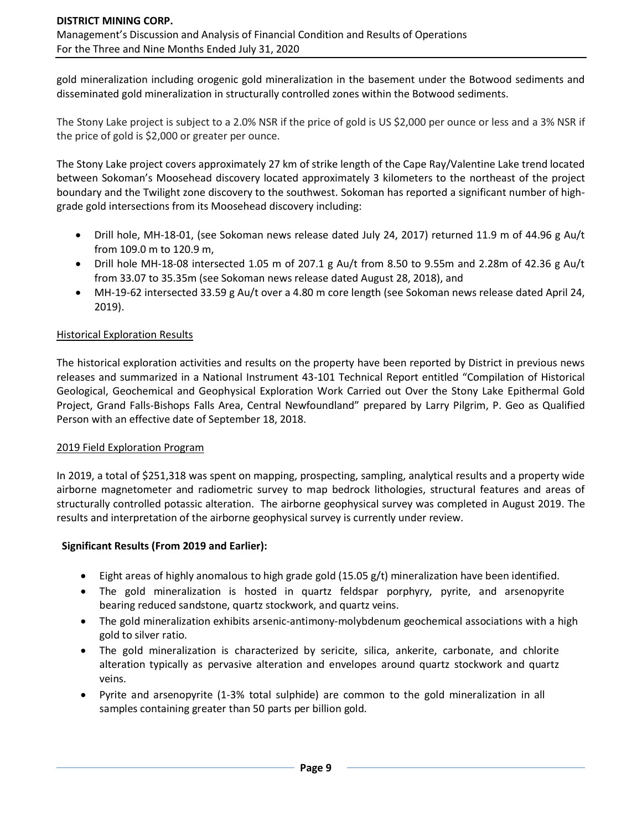gold mineralization including orogenic gold mineralization in the basement under the Botwood sediments and disseminated gold mineralization in structurally controlled zones within the Botwood sediments.

The Stony Lake project is subject to a 2.0% NSR if the price of gold is US \$2,000 per ounce or less and a 3% NSR if the price of gold is \$2,000 or greater per ounce.

The Stony Lake project covers approximately 27 km of strike length of the Cape Ray/Valentine Lake trend located between Sokoman's Moosehead discovery located approximately 3 kilometers to the northeast of the project boundary and the Twilight zone discovery to the southwest. Sokoman has reported a significant number of highgrade gold intersections from its Moosehead discovery including:

- Drill hole, MH-18-01, (see Sokoman news release dated July 24, 2017) returned 11.9 m of 44.96 g Au/t from 109.0 m to 120.9 m,
- Drill hole MH-18-08 intersected 1.05 m of 207.1 g Au/t from 8.50 to 9.55m and 2.28m of 42.36 g Au/t from 33.07 to 35.35m (see Sokoman news release dated August 28, 2018), and
- MH-19-62 intersected 33.59 g Au/t over a 4.80 m core length (see Sokoman news release dated April 24, 2019).

### Historical Exploration Results

The historical exploration activities and results on the property have been reported by District in previous news releases and summarized in a National Instrument 43-101 Technical Report entitled "Compilation of Historical Geological, Geochemical and Geophysical Exploration Work Carried out Over the Stony Lake Epithermal Gold Project, Grand Falls-Bishops Falls Area, Central Newfoundland" prepared by Larry Pilgrim, P. Geo as Qualified Person with an effective date of September 18, 2018.

#### 2019 Field Exploration Program

In 2019, a total of \$251,318 was spent on mapping, prospecting, sampling, analytical results and a property wide airborne magnetometer and radiometric survey to map bedrock lithologies, structural features and areas of structurally controlled potassic alteration. The airborne geophysical survey was completed in August 2019. The results and interpretation of the airborne geophysical survey is currently under review.

#### **Significant Results (From 2019 and Earlier):**

- Eight areas of highly anomalous to high grade gold (15.05 g/t) mineralization have been identified.
- The gold mineralization is hosted in quartz feldspar porphyry, pyrite, and arsenopyrite bearing reduced sandstone, quartz stockwork, and quartz veins.
- The gold mineralization exhibits arsenic-antimony-molybdenum geochemical associations with a high gold to silver ratio.
- The gold mineralization is characterized by sericite, silica, ankerite, carbonate, and chlorite alteration typically as pervasive alteration and envelopes around quartz stockwork and quartz veins.
- Pyrite and arsenopyrite (1-3% total sulphide) are common to the gold mineralization in all samples containing greater than 50 parts per billion gold.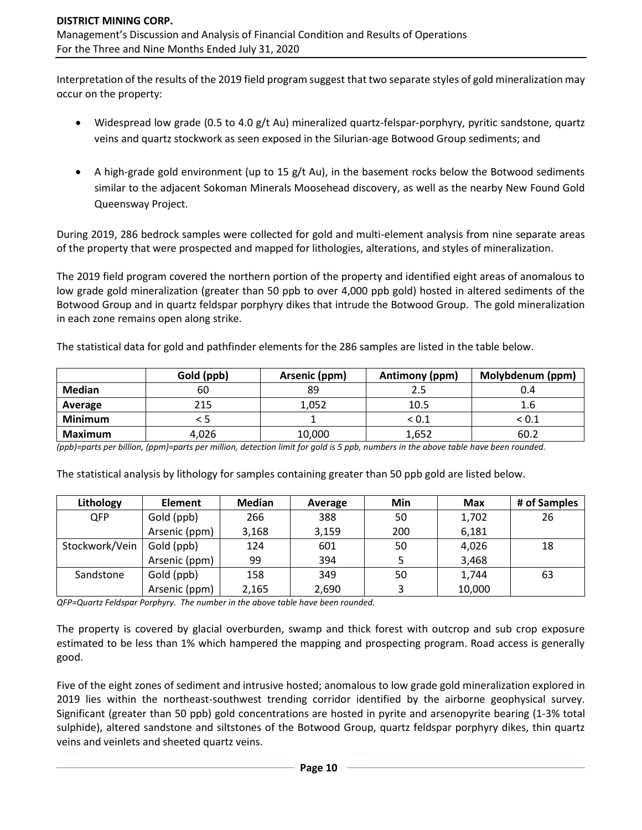Interpretation of the results of the 2019 field program suggest that two separate styles of gold mineralization may occur on the property:

- Widespread low grade (0.5 to 4.0 g/t Au) mineralized quartz-felspar-porphyry, pyritic sandstone, quartz veins and quartz stockwork as seen exposed in the Silurian-age Botwood Group sediments; and
- A high-grade gold environment (up to 15 g/t Au), in the basement rocks below the Botwood sediments similar to the adjacent Sokoman Minerals Moosehead discovery, as well as the nearby New Found Gold Queensway Project.

During 2019, 286 bedrock samples were collected for gold and multi-element analysis from nine separate areas of the property that were prospected and mapped for lithologies, alterations, and styles of mineralization.

The 2019 field program covered the northern portion of the property and identified eight areas of anomalous to low grade gold mineralization (greater than 50 ppb to over 4,000 ppb gold) hosted in altered sediments of the Botwood Group and in quartz feldspar porphyry dikes that intrude the Botwood Group. The gold mineralization in each zone remains open along strike.

The statistical data for gold and pathfinder elements for the 286 samples are listed in the table below.

|                | Gold (ppb) | Arsenic (ppm) | Antimony (ppm)<br>Molybdenum (ppm) |       |
|----------------|------------|---------------|------------------------------------|-------|
| <b>Median</b>  | 60         | 89            |                                    |       |
| Average        | 215        | 1,052         | 10.5                               | 1.6   |
| <b>Minimum</b> |            |               | < 0.1                              | < 0.1 |
| Maximum        | 4.026      | 10,000        | 1,652                              | 60.2  |

*(ppb)=parts per billion, (ppm)=parts per million, detection limit for gold is 5 ppb, numbers in the above table have been rounded.*

The statistical analysis by lithology for samples containing greater than 50 ppb gold are listed below.

| Lithology      | <b>Element</b> | Median | Average | Min | <b>Max</b> | # of Samples |
|----------------|----------------|--------|---------|-----|------------|--------------|
| <b>QFP</b>     | Gold (ppb)     | 266    | 388     | 50  | 1,702      | 26           |
|                | Arsenic (ppm)  | 3,168  | 3,159   | 200 | 6,181      |              |
| Stockwork/Vein | Gold (ppb)     | 124    | 601     | 50  | 4,026      | 18           |
|                | Arsenic (ppm)  | 99     | 394     |     | 3,468      |              |
| Sandstone      | Gold (ppb)     | 158    | 349     | 50  | 1,744      | 63           |
|                | Arsenic (ppm)  | 2,165  | 2,690   | 3   | 10,000     |              |

*QFP=Quartz Feldspar Porphyry. The number in the above table have been rounded.*

The property is covered by glacial overburden, swamp and thick forest with outcrop and sub crop exposure estimated to be less than 1% which hampered the mapping and prospecting program. Road access is generally good.

Five of the eight zones of sediment and intrusive hosted; anomalous to low grade gold mineralization explored in 2019 lies within the northeast-southwest trending corridor identified by the airborne geophysical survey. Significant (greater than 50 ppb) gold concentrations are hosted in pyrite and arsenopyrite bearing (1-3% total sulphide), altered sandstone and siltstones of the Botwood Group, quartz feldspar porphyry dikes, thin quartz veins and veinlets and sheeted quartz veins.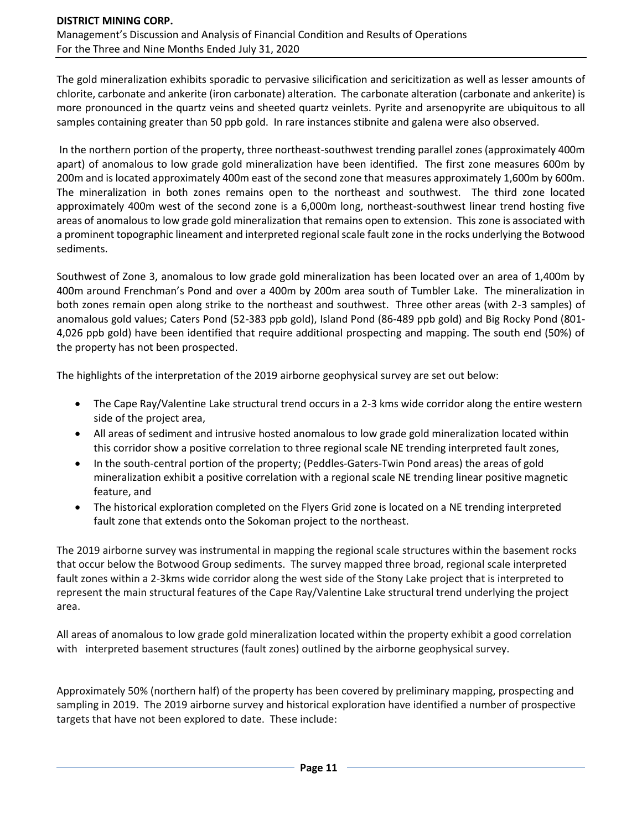The gold mineralization exhibits sporadic to pervasive silicification and sericitization as well as lesser amounts of chlorite, carbonate and ankerite (iron carbonate) alteration. The carbonate alteration (carbonate and ankerite) is more pronounced in the quartz veins and sheeted quartz veinlets. Pyrite and arsenopyrite are ubiquitous to all samples containing greater than 50 ppb gold. In rare instances stibnite and galena were also observed.

In the northern portion of the property, three northeast-southwest trending parallel zones (approximately 400m apart) of anomalous to low grade gold mineralization have been identified. The first zone measures 600m by 200m and is located approximately 400m east of the second zone that measures approximately 1,600m by 600m. The mineralization in both zones remains open to the northeast and southwest. The third zone located approximately 400m west of the second zone is a 6,000m long, northeast-southwest linear trend hosting five areas of anomalous to low grade gold mineralization that remains open to extension. This zone is associated with a prominent topographic lineament and interpreted regional scale fault zone in the rocks underlying the Botwood sediments.

Southwest of Zone 3, anomalous to low grade gold mineralization has been located over an area of 1,400m by 400m around Frenchman's Pond and over a 400m by 200m area south of Tumbler Lake. The mineralization in both zones remain open along strike to the northeast and southwest. Three other areas (with 2-3 samples) of anomalous gold values; Caters Pond (52-383 ppb gold), Island Pond (86-489 ppb gold) and Big Rocky Pond (801- 4,026 ppb gold) have been identified that require additional prospecting and mapping. The south end (50%) of the property has not been prospected.

The highlights of the interpretation of the 2019 airborne geophysical survey are set out below:

- The Cape Ray/Valentine Lake structural trend occurs in a 2-3 kms wide corridor along the entire western side of the project area,
- All areas of sediment and intrusive hosted anomalous to low grade gold mineralization located within this corridor show a positive correlation to three regional scale NE trending interpreted fault zones,
- In the south-central portion of the property; (Peddles-Gaters-Twin Pond areas) the areas of gold mineralization exhibit a positive correlation with a regional scale NE trending linear positive magnetic feature, and
- The historical exploration completed on the Flyers Grid zone is located on a NE trending interpreted fault zone that extends onto the Sokoman project to the northeast.

The 2019 airborne survey was instrumental in mapping the regional scale structures within the basement rocks that occur below the Botwood Group sediments. The survey mapped three broad, regional scale interpreted fault zones within a 2-3kms wide corridor along the west side of the Stony Lake project that is interpreted to represent the main structural features of the Cape Ray/Valentine Lake structural trend underlying the project area.

All areas of anomalous to low grade gold mineralization located within the property exhibit a good correlation with interpreted basement structures (fault zones) outlined by the airborne geophysical survey.

Approximately 50% (northern half) of the property has been covered by preliminary mapping, prospecting and sampling in 2019. The 2019 airborne survey and historical exploration have identified a number of prospective targets that have not been explored to date. These include: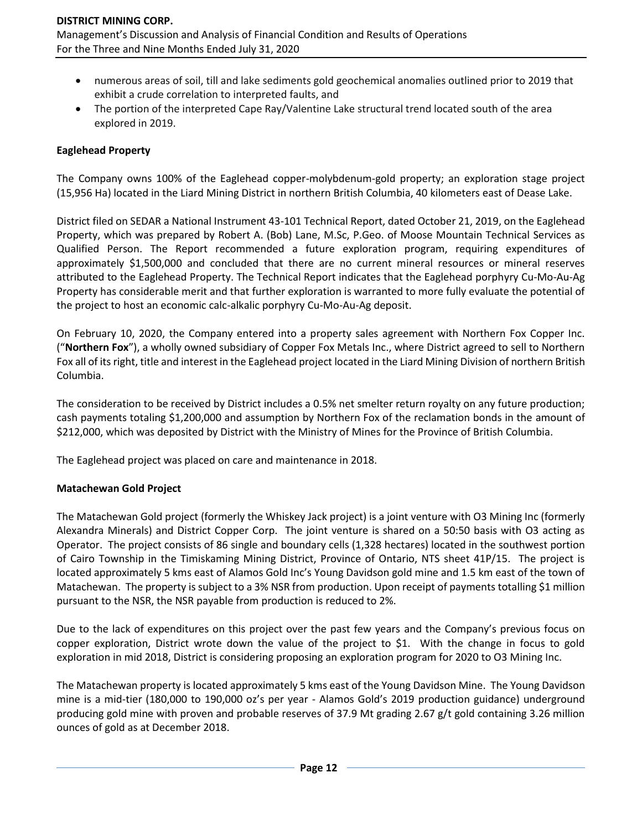- numerous areas of soil, till and lake sediments gold geochemical anomalies outlined prior to 2019 that exhibit a crude correlation to interpreted faults, and
- The portion of the interpreted Cape Ray/Valentine Lake structural trend located south of the area explored in 2019.

### **Eaglehead Property**

The Company owns 100% of the Eaglehead copper-molybdenum-gold property; an exploration stage project (15,956 Ha) located in the Liard Mining District in northern British Columbia, 40 kilometers east of Dease Lake.

District filed on SEDAR a National Instrument 43-101 Technical Report, dated October 21, 2019, on the Eaglehead Property, which was prepared by Robert A. (Bob) Lane, M.Sc, P.Geo. of Moose Mountain Technical Services as Qualified Person. The Report recommended a future exploration program, requiring expenditures of approximately \$1,500,000 and concluded that there are no current mineral resources or mineral reserves attributed to the Eaglehead Property. The Technical Report indicates that the Eaglehead porphyry Cu-Mo-Au-Ag Property has considerable merit and that further exploration is warranted to more fully evaluate the potential of the project to host an economic calc-alkalic porphyry Cu-Mo-Au-Ag deposit.

On February 10, 2020, the Company entered into a property sales agreement with Northern Fox Copper Inc. ("**Northern Fox**"), a wholly owned subsidiary of Copper Fox Metals Inc., where District agreed to sell to Northern Fox all of its right, title and interest in the Eaglehead project located in the Liard Mining Division of northern British Columbia.

The consideration to be received by District includes a 0.5% net smelter return royalty on any future production; cash payments totaling \$1,200,000 and assumption by Northern Fox of the reclamation bonds in the amount of \$212,000, which was deposited by District with the Ministry of Mines for the Province of British Columbia.

The Eaglehead project was placed on care and maintenance in 2018.

#### **Matachewan Gold Project**

The Matachewan Gold project (formerly the Whiskey Jack project) is a joint venture with O3 Mining Inc (formerly Alexandra Minerals) and District Copper Corp. The joint venture is shared on a 50:50 basis with O3 acting as Operator. The project consists of 86 single and boundary cells (1,328 hectares) located in the southwest portion of Cairo Township in the Timiskaming Mining District, Province of Ontario, NTS sheet 41P/15. The project is located approximately 5 kms east of Alamos Gold Inc's Young Davidson gold mine and 1.5 km east of the town of Matachewan. The property is subject to a 3% NSR from production. Upon receipt of payments totalling \$1 million pursuant to the NSR, the NSR payable from production is reduced to 2%.

Due to the lack of expenditures on this project over the past few years and the Company's previous focus on copper exploration, District wrote down the value of the project to \$1. With the change in focus to gold exploration in mid 2018, District is considering proposing an exploration program for 2020 to O3 Mining Inc.

The Matachewan property is located approximately 5 kms east of the Young Davidson Mine. The Young Davidson mine is a mid-tier (180,000 to 190,000 oz's per year - Alamos Gold's 2019 production guidance) underground producing gold mine with proven and probable reserves of 37.9 Mt grading 2.67 g/t gold containing 3.26 million ounces of gold as at December 2018.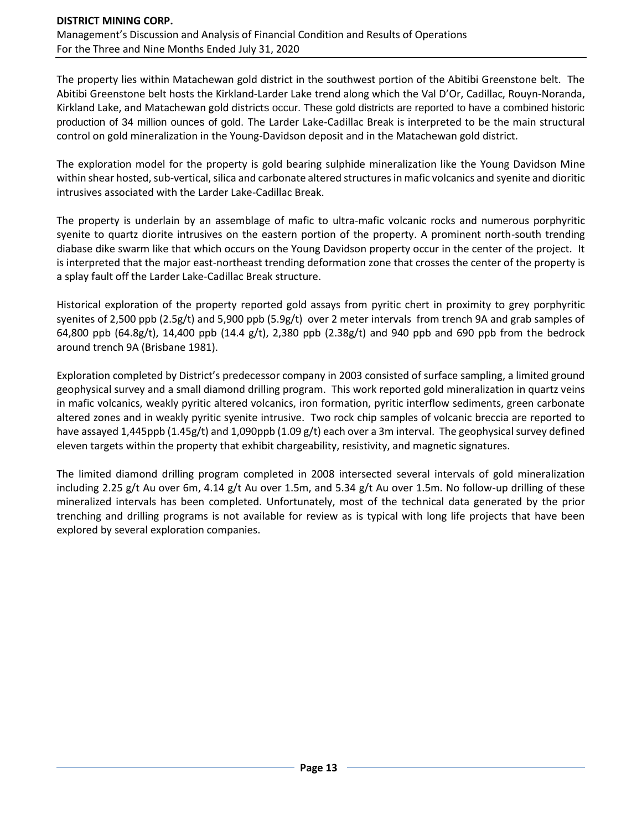The property lies within Matachewan gold district in the southwest portion of the Abitibi Greenstone belt. The Abitibi Greenstone belt hosts the Kirkland-Larder Lake trend along which the Val D'Or, Cadillac, Rouyn-Noranda, Kirkland Lake, and Matachewan gold districts occur. These gold districts are reported to have a combined historic production of 34 million ounces of gold. The Larder Lake-Cadillac Break is interpreted to be the main structural control on gold mineralization in the Young-Davidson deposit and in the Matachewan gold district.

The exploration model for the property is gold bearing sulphide mineralization like the Young Davidson Mine within shear hosted, sub-vertical, silica and carbonate altered structures in mafic volcanics and syenite and dioritic intrusives associated with the Larder Lake-Cadillac Break.

The property is underlain by an assemblage of mafic to ultra-mafic volcanic rocks and numerous porphyritic syenite to quartz diorite intrusives on the eastern portion of the property. A prominent north-south trending diabase dike swarm like that which occurs on the Young Davidson property occur in the center of the project. It is interpreted that the major east-northeast trending deformation zone that crosses the center of the property is a splay fault off the Larder Lake-Cadillac Break structure.

Historical exploration of the property reported gold assays from pyritic chert in proximity to grey porphyritic syenites of 2,500 ppb (2.5g/t) and 5,900 ppb (5.9g/t) over 2 meter intervals from trench 9A and grab samples of 64,800 ppb (64.8g/t), 14,400 ppb (14.4 g/t), 2,380 ppb (2.38g/t) and 940 ppb and 690 ppb from the bedrock around trench 9A (Brisbane 1981).

Exploration completed by District's predecessor company in 2003 consisted of surface sampling, a limited ground geophysical survey and a small diamond drilling program. This work reported gold mineralization in quartz veins in mafic volcanics, weakly pyritic altered volcanics, iron formation, pyritic interflow sediments, green carbonate altered zones and in weakly pyritic syenite intrusive. Two rock chip samples of volcanic breccia are reported to have assayed 1,445ppb (1.45g/t) and 1,090ppb (1.09 g/t) each over a 3m interval. The geophysical survey defined eleven targets within the property that exhibit chargeability, resistivity, and magnetic signatures.

The limited diamond drilling program completed in 2008 intersected several intervals of gold mineralization including 2.25 g/t Au over 6m, 4.14 g/t Au over 1.5m, and 5.34 g/t Au over 1.5m. No follow-up drilling of these mineralized intervals has been completed. Unfortunately, most of the technical data generated by the prior trenching and drilling programs is not available for review as is typical with long life projects that have been explored by several exploration companies.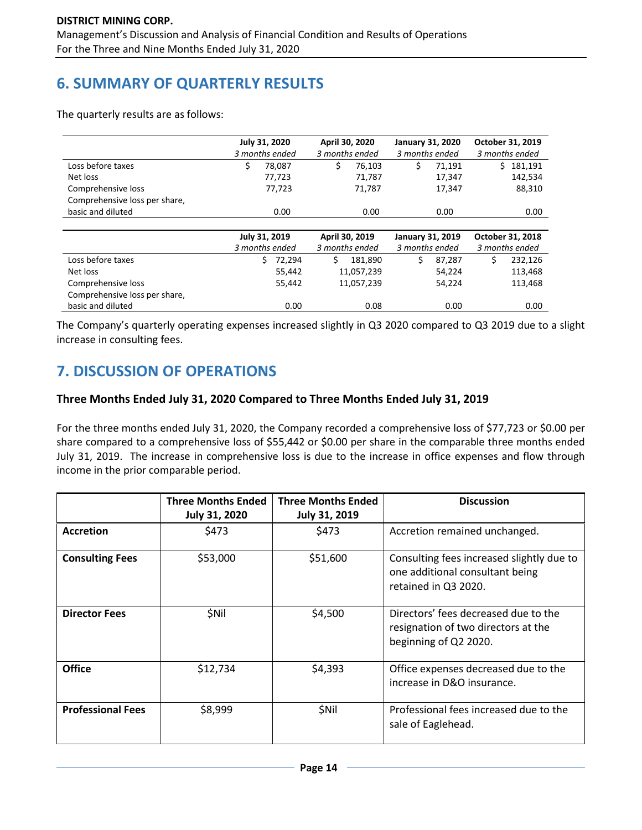# **6. SUMMARY OF QUARTERLY RESULTS**

The quarterly results are as follows:

|                               | July 31, 2020<br>3 months ended | April 30, 2020<br>3 months ended | <b>January 31, 2020</b><br>3 months ended | October 31, 2019<br>3 months ended |  |
|-------------------------------|---------------------------------|----------------------------------|-------------------------------------------|------------------------------------|--|
| Loss before taxes             | \$<br>78,087                    | \$<br>76,103                     | \$<br>71,191                              | Ś.<br>181,191                      |  |
| Net loss                      | 77,723                          | 71,787                           | 17,347                                    | 142,534                            |  |
| Comprehensive loss            | 77,723                          | 71,787                           | 17,347                                    | 88,310                             |  |
| Comprehensive loss per share, |                                 |                                  |                                           |                                    |  |
| basic and diluted             | 0.00                            | 0.00                             | 0.00                                      | 0.00                               |  |
|                               |                                 |                                  |                                           |                                    |  |
|                               | July 31, 2019                   | April 30, 2019                   | January 31, 2019                          | October 31, 2018                   |  |
|                               | 3 months ended                  | 3 months ended                   | 3 months ended                            | 3 months ended                     |  |
| Loss before taxes             | 72.294<br>Ś                     | Ś.<br>181.890                    | Ś.<br>87.287                              | Ś<br>232,126                       |  |
| Net loss                      | 55,442                          | 11,057,239                       | 54,224                                    | 113,468                            |  |
| Comprehensive loss            | 55,442                          | 11,057,239                       | 54,224                                    | 113,468                            |  |
| Comprehensive loss per share, |                                 |                                  |                                           |                                    |  |
| basic and diluted             | 0.00                            | 0.08                             | 0.00                                      | 0.00                               |  |

The Company's quarterly operating expenses increased slightly in Q3 2020 compared to Q3 2019 due to a slight increase in consulting fees.

# **7. DISCUSSION OF OPERATIONS**

### **Three Months Ended July 31, 2020 Compared to Three Months Ended July 31, 2019**

For the three months ended July 31, 2020, the Company recorded a comprehensive loss of \$77,723 or \$0.00 per share compared to a comprehensive loss of \$55,442 or \$0.00 per share in the comparable three months ended July 31, 2019. The increase in comprehensive loss is due to the increase in office expenses and flow through income in the prior comparable period.

|                          | <b>Three Months Ended</b><br><b>July 31, 2020</b> | <b>Three Months Ended</b><br><b>July 31, 2019</b> | <b>Discussion</b>                                                                                    |
|--------------------------|---------------------------------------------------|---------------------------------------------------|------------------------------------------------------------------------------------------------------|
| <b>Accretion</b>         | \$473                                             | \$473                                             | Accretion remained unchanged.                                                                        |
| <b>Consulting Fees</b>   | \$53,000                                          | \$51,600                                          | Consulting fees increased slightly due to<br>one additional consultant being<br>retained in Q3 2020. |
| <b>Director Fees</b>     | <b>SNil</b>                                       | \$4,500                                           | Directors' fees decreased due to the<br>resignation of two directors at the<br>beginning of Q2 2020. |
| <b>Office</b>            | \$12,734                                          | \$4,393                                           | Office expenses decreased due to the<br>increase in D&O insurance.                                   |
| <b>Professional Fees</b> | \$8,999                                           | \$Nil                                             | Professional fees increased due to the<br>sale of Eaglehead.                                         |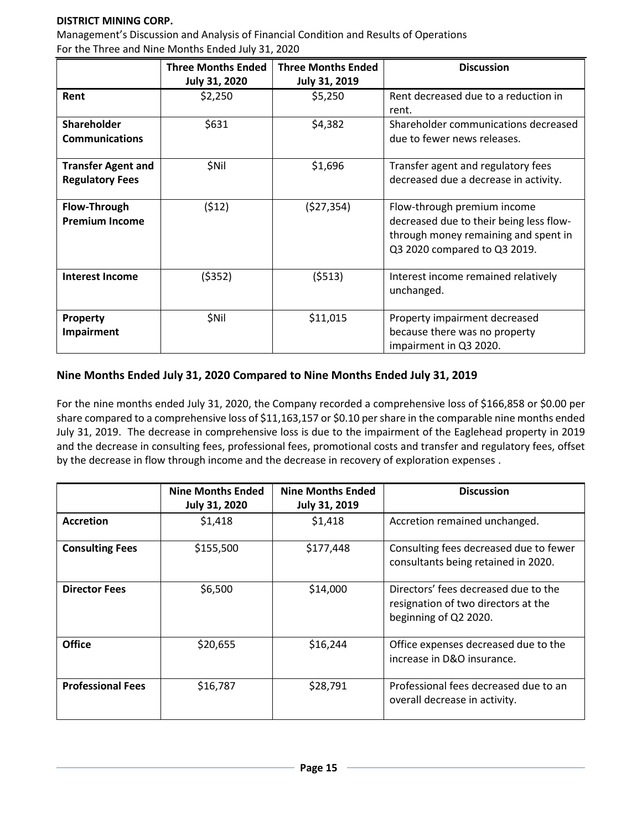### **DISTRICT MINING CORP.**

Management's Discussion and Analysis of Financial Condition and Results of Operations For the Three and Nine Months Ended July 31, 2020

|                           | <b>Three Months Ended</b> | <b>Three Months Ended</b> | <b>Discussion</b>                       |
|---------------------------|---------------------------|---------------------------|-----------------------------------------|
|                           | July 31, 2020             | July 31, 2019             |                                         |
| Rent                      | \$2,250                   | \$5,250                   | Rent decreased due to a reduction in    |
|                           |                           |                           | rent.                                   |
| <b>Shareholder</b>        | \$631                     | \$4,382                   | Shareholder communications decreased    |
| <b>Communications</b>     |                           |                           | due to fewer news releases.             |
|                           |                           |                           |                                         |
| <b>Transfer Agent and</b> | \$Nil                     | \$1,696                   | Transfer agent and regulatory fees      |
| <b>Regulatory Fees</b>    |                           |                           | decreased due a decrease in activity.   |
|                           |                           |                           |                                         |
| <b>Flow-Through</b>       | (\$12)                    | (527, 354)                | Flow-through premium income             |
| <b>Premium Income</b>     |                           |                           | decreased due to their being less flow- |
|                           |                           |                           | through money remaining and spent in    |
|                           |                           |                           | Q3 2020 compared to Q3 2019.            |
|                           |                           |                           |                                         |
| <b>Interest Income</b>    | (\$352)                   | (5513)                    | Interest income remained relatively     |
|                           |                           |                           | unchanged.                              |
|                           |                           |                           |                                         |
| Property                  | \$Nil                     | \$11,015                  | Property impairment decreased           |
| Impairment                |                           |                           | because there was no property           |
|                           |                           |                           | impairment in Q3 2020.                  |

### **Nine Months Ended July 31, 2020 Compared to Nine Months Ended July 31, 2019**

For the nine months ended July 31, 2020, the Company recorded a comprehensive loss of \$166,858 or \$0.00 per share compared to a comprehensive loss of \$11,163,157 or \$0.10 per share in the comparable nine months ended July 31, 2019. The decrease in comprehensive loss is due to the impairment of the Eaglehead property in 2019 and the decrease in consulting fees, professional fees, promotional costs and transfer and regulatory fees, offset by the decrease in flow through income and the decrease in recovery of exploration expenses .

|                          | <b>Nine Months Ended</b><br><b>July 31, 2020</b> | <b>Nine Months Ended</b><br><b>July 31, 2019</b> | <b>Discussion</b>                                                                                    |
|--------------------------|--------------------------------------------------|--------------------------------------------------|------------------------------------------------------------------------------------------------------|
| <b>Accretion</b>         | \$1,418                                          | \$1,418                                          | Accretion remained unchanged.                                                                        |
| <b>Consulting Fees</b>   | \$155,500                                        | \$177,448                                        | Consulting fees decreased due to fewer<br>consultants being retained in 2020.                        |
| <b>Director Fees</b>     | \$6,500                                          | \$14,000                                         | Directors' fees decreased due to the<br>resignation of two directors at the<br>beginning of Q2 2020. |
| <b>Office</b>            | \$20,655                                         | \$16,244                                         | Office expenses decreased due to the<br>increase in D&O insurance.                                   |
| <b>Professional Fees</b> | \$16,787                                         | \$28,791                                         | Professional fees decreased due to an<br>overall decrease in activity.                               |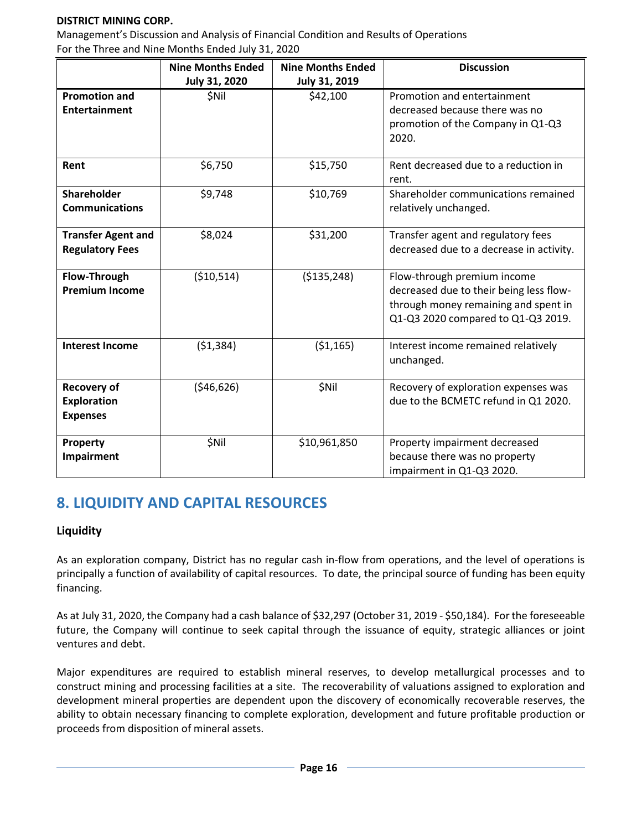### **DISTRICT MINING CORP.**

Management's Discussion and Analysis of Financial Condition and Results of Operations For the Three and Nine Months Ended July 31, 2020

|                           | <b>Nine Months Ended</b> | <b>Nine Months Ended</b> | <b>Discussion</b>                        |
|---------------------------|--------------------------|--------------------------|------------------------------------------|
|                           | July 31, 2020            | July 31, 2019            |                                          |
| <b>Promotion and</b>      | \$Nil                    | \$42,100                 | Promotion and entertainment              |
| <b>Entertainment</b>      |                          |                          | decreased because there was no           |
|                           |                          |                          | promotion of the Company in Q1-Q3        |
|                           |                          |                          | 2020.                                    |
|                           |                          |                          |                                          |
| Rent                      | \$6,750                  | \$15,750                 | Rent decreased due to a reduction in     |
|                           |                          |                          | rent.                                    |
| <b>Shareholder</b>        | \$9,748                  | \$10,769                 | Shareholder communications remained      |
| <b>Communications</b>     |                          |                          | relatively unchanged.                    |
|                           |                          |                          |                                          |
| <b>Transfer Agent and</b> | \$8,024                  | \$31,200                 | Transfer agent and regulatory fees       |
| <b>Regulatory Fees</b>    |                          |                          | decreased due to a decrease in activity. |
|                           |                          |                          |                                          |
| Flow-Through              | (\$10,514)               | ( \$135, 248)            | Flow-through premium income              |
| <b>Premium Income</b>     |                          |                          | decreased due to their being less flow-  |
|                           |                          |                          | through money remaining and spent in     |
|                           |                          |                          | Q1-Q3 2020 compared to Q1-Q3 2019.       |
|                           |                          |                          |                                          |
| <b>Interest Income</b>    | (51, 384)                | ( \$1,165)               | Interest income remained relatively      |
|                           |                          |                          | unchanged.                               |
|                           |                          |                          |                                          |
| <b>Recovery of</b>        | ( \$46, 626)             | \$Nil                    | Recovery of exploration expenses was     |
| <b>Exploration</b>        |                          |                          | due to the BCMETC refund in Q1 2020.     |
| <b>Expenses</b>           |                          |                          |                                          |
|                           |                          |                          |                                          |
| Property                  | \$Nil                    | \$10,961,850             | Property impairment decreased            |
| Impairment                |                          |                          | because there was no property            |
|                           |                          |                          | impairment in Q1-Q3 2020.                |

# **8. LIQUIDITY AND CAPITAL RESOURCES**

### **Liquidity**

As an exploration company, District has no regular cash in-flow from operations, and the level of operations is principally a function of availability of capital resources. To date, the principal source of funding has been equity financing.

As at July 31, 2020, the Company had a cash balance of \$32,297 (October 31, 2019 - \$50,184). For the foreseeable future, the Company will continue to seek capital through the issuance of equity, strategic alliances or joint ventures and debt.

Major expenditures are required to establish mineral reserves, to develop metallurgical processes and to construct mining and processing facilities at a site. The recoverability of valuations assigned to exploration and development mineral properties are dependent upon the discovery of economically recoverable reserves, the ability to obtain necessary financing to complete exploration, development and future profitable production or proceeds from disposition of mineral assets.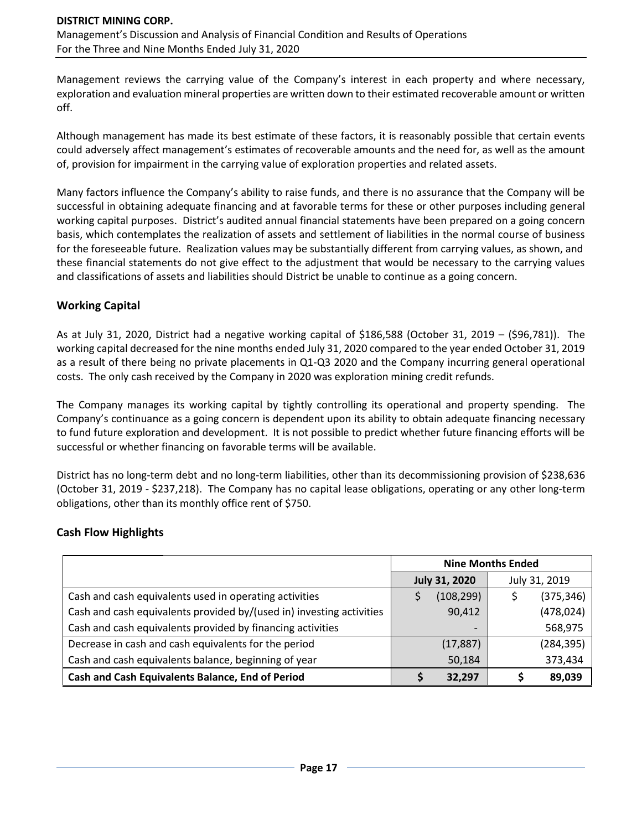Management reviews the carrying value of the Company's interest in each property and where necessary, exploration and evaluation mineral properties are written down to their estimated recoverable amount or written off.

Although management has made its best estimate of these factors, it is reasonably possible that certain events could adversely affect management's estimates of recoverable amounts and the need for, as well as the amount of, provision for impairment in the carrying value of exploration properties and related assets.

Many factors influence the Company's ability to raise funds, and there is no assurance that the Company will be successful in obtaining adequate financing and at favorable terms for these or other purposes including general working capital purposes. District's audited annual financial statements have been prepared on a going concern basis, which contemplates the realization of assets and settlement of liabilities in the normal course of business for the foreseeable future. Realization values may be substantially different from carrying values, as shown, and these financial statements do not give effect to the adjustment that would be necessary to the carrying values and classifications of assets and liabilities should District be unable to continue as a going concern.

### **Working Capital**

As at July 31, 2020, District had a negative working capital of \$186,588 (October 31, 2019 – (\$96,781)). The working capital decreased for the nine months ended July 31, 2020 compared to the year ended October 31, 2019 as a result of there being no private placements in Q1-Q3 2020 and the Company incurring general operational costs. The only cash received by the Company in 2020 was exploration mining credit refunds.

The Company manages its working capital by tightly controlling its operational and property spending. The Company's continuance as a going concern is dependent upon its ability to obtain adequate financing necessary to fund future exploration and development. It is not possible to predict whether future financing efforts will be successful or whether financing on favorable terms will be available.

District has no long-term debt and no long-term liabilities, other than its decommissioning provision of \$238,636 (October 31, 2019 - \$237,218). The Company has no capital lease obligations, operating or any other long-term obligations, other than its monthly office rent of \$750.

### **Cash Flow Highlights**

|                                                                      | <b>Nine Months Ended</b> |                          |  |               |
|----------------------------------------------------------------------|--------------------------|--------------------------|--|---------------|
|                                                                      |                          | <b>July 31, 2020</b>     |  | July 31, 2019 |
| Cash and cash equivalents used in operating activities               |                          | (108, 299)               |  | (375, 346)    |
| Cash and cash equivalents provided by/(used in) investing activities |                          | 90,412                   |  | (478, 024)    |
| Cash and cash equivalents provided by financing activities           |                          | $\overline{\phantom{0}}$ |  | 568,975       |
| Decrease in cash and cash equivalents for the period                 |                          | (17, 887)                |  | (284, 395)    |
| Cash and cash equivalents balance, beginning of year                 |                          | 50,184                   |  | 373,434       |
| Cash and Cash Equivalents Balance, End of Period                     |                          | 32,297                   |  | 89,039        |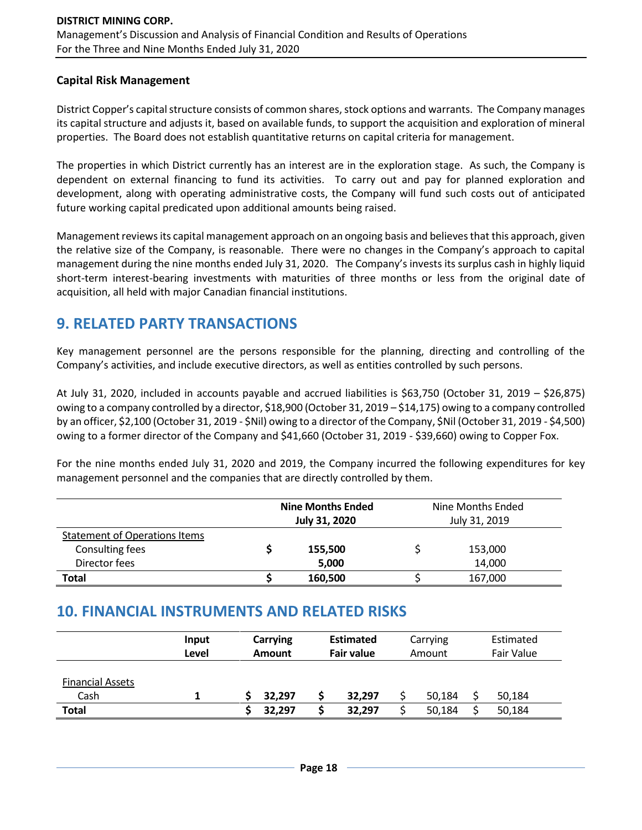### **Capital Risk Management**

District Copper's capital structure consists of common shares, stock options and warrants. The Company manages its capital structure and adjusts it, based on available funds, to support the acquisition and exploration of mineral properties. The Board does not establish quantitative returns on capital criteria for management.

The properties in which District currently has an interest are in the exploration stage. As such, the Company is dependent on external financing to fund its activities. To carry out and pay for planned exploration and development, along with operating administrative costs, the Company will fund such costs out of anticipated future working capital predicated upon additional amounts being raised.

Management reviews its capital management approach on an ongoing basis and believes that this approach, given the relative size of the Company, is reasonable. There were no changes in the Company's approach to capital management during the nine months ended July 31, 2020. The Company's invests its surplus cash in highly liquid short-term interest-bearing investments with maturities of three months or less from the original date of acquisition, all held with major Canadian financial institutions.

## **9. RELATED PARTY TRANSACTIONS**

Key management personnel are the persons responsible for the planning, directing and controlling of the Company's activities, and include executive directors, as well as entities controlled by such persons.

At July 31, 2020, included in accounts payable and accrued liabilities is \$63,750 (October 31, 2019 – \$26,875) owing to a company controlled by a director, \$18,900 (October 31, 2019 – \$14,175) owing to a company controlled by an officer, \$2,100 (October 31, 2019 - \$Nil) owing to a director of the Company, \$Nil (October 31, 2019 - \$4,500) owing to a former director of the Company and \$41,660 (October 31, 2019 - \$39,660) owing to Copper Fox.

For the nine months ended July 31, 2020 and 2019, the Company incurred the following expenditures for key management personnel and the companies that are directly controlled by them.

|                                      | <b>Nine Months Ended</b><br><b>July 31, 2020</b> |         | Nine Months Ended<br>July 31, 2019 |         |  |
|--------------------------------------|--------------------------------------------------|---------|------------------------------------|---------|--|
| <b>Statement of Operations Items</b> |                                                  |         |                                    |         |  |
| <b>Consulting fees</b>               |                                                  | 155,500 |                                    | 153,000 |  |
| Director fees                        |                                                  | 5,000   |                                    | 14,000  |  |
| <b>Total</b>                         |                                                  | 160,500 |                                    | 167,000 |  |

## **10. FINANCIAL INSTRUMENTS AND RELATED RISKS**

|                                 | Input<br>Level | Carrying<br><b>Amount</b> | <b>Estimated</b><br><b>Fair value</b> | Carrying<br>Amount | Estimated<br>Fair Value |  |
|---------------------------------|----------------|---------------------------|---------------------------------------|--------------------|-------------------------|--|
| <b>Financial Assets</b><br>Cash |                | 32,297                    | 32,297                                | 50.184             | 50,184                  |  |
| <b>Total</b>                    |                | 32.297                    | 32.297                                | 50,184             | 50,184                  |  |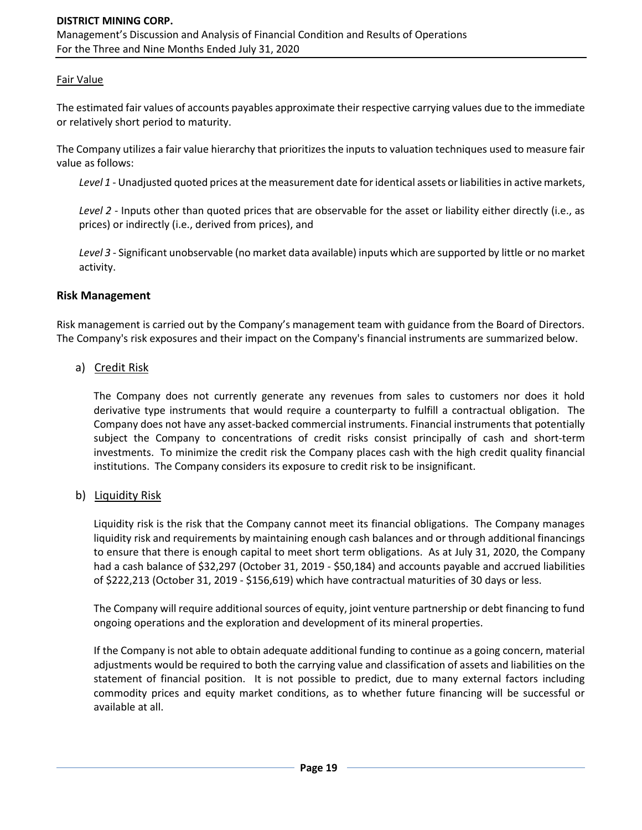### Fair Value

The estimated fair values of accounts payables approximate their respective carrying values due to the immediate or relatively short period to maturity.

The Company utilizes a fair value hierarchy that prioritizes the inputs to valuation techniques used to measure fair value as follows:

*Level 1* - Unadjusted quoted prices at the measurement date for identical assets or liabilities in active markets,

*Level 2* - Inputs other than quoted prices that are observable for the asset or liability either directly (i.e., as prices) or indirectly (i.e., derived from prices), and

*Level 3* - Significant unobservable (no market data available) inputs which are supported by little or no market activity.

#### **Risk Management**

Risk management is carried out by the Company's management team with guidance from the Board of Directors. The Company's risk exposures and their impact on the Company's financial instruments are summarized below.

### a) Credit Risk

The Company does not currently generate any revenues from sales to customers nor does it hold derivative type instruments that would require a counterparty to fulfill a contractual obligation. The Company does not have any asset-backed commercial instruments. Financial instruments that potentially subject the Company to concentrations of credit risks consist principally of cash and short-term investments. To minimize the credit risk the Company places cash with the high credit quality financial institutions. The Company considers its exposure to credit risk to be insignificant.

#### b) Liquidity Risk

Liquidity risk is the risk that the Company cannot meet its financial obligations. The Company manages liquidity risk and requirements by maintaining enough cash balances and or through additional financings to ensure that there is enough capital to meet short term obligations. As at July 31, 2020, the Company had a cash balance of \$32,297 (October 31, 2019 - \$50,184) and accounts payable and accrued liabilities of \$222,213 (October 31, 2019 - \$156,619) which have contractual maturities of 30 days or less.

The Company will require additional sources of equity, joint venture partnership or debt financing to fund ongoing operations and the exploration and development of its mineral properties.

If the Company is not able to obtain adequate additional funding to continue as a going concern, material adjustments would be required to both the carrying value and classification of assets and liabilities on the statement of financial position. It is not possible to predict, due to many external factors including commodity prices and equity market conditions, as to whether future financing will be successful or available at all.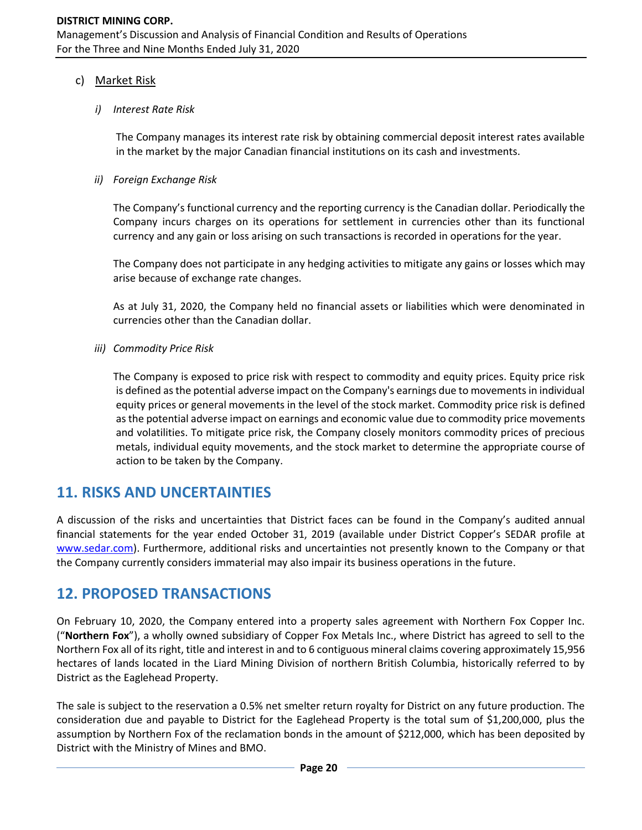### c) Market Risk

### *i) Interest Rate Risk*

The Company manages its interest rate risk by obtaining commercial deposit interest rates available in the market by the major Canadian financial institutions on its cash and investments.

### *ii) Foreign Exchange Risk*

The Company's functional currency and the reporting currency is the Canadian dollar. Periodically the Company incurs charges on its operations for settlement in currencies other than its functional currency and any gain or loss arising on such transactions is recorded in operations for the year.

The Company does not participate in any hedging activities to mitigate any gains or losses which may arise because of exchange rate changes.

As at July 31, 2020, the Company held no financial assets or liabilities which were denominated in currencies other than the Canadian dollar.

*iii) Commodity Price Risk*

The Company is exposed to price risk with respect to commodity and equity prices. Equity price risk is defined as the potential adverse impact on the Company's earnings due to movements in individual equity prices or general movements in the level of the stock market. Commodity price risk is defined as the potential adverse impact on earnings and economic value due to commodity price movements and volatilities. To mitigate price risk, the Company closely monitors commodity prices of precious metals, individual equity movements, and the stock market to determine the appropriate course of action to be taken by the Company.

### **11. RISKS AND UNCERTAINTIES**

A discussion of the risks and uncertainties that District faces can be found in the Company's audited annual financial statements for the year ended October 31, 2019 (available under District Copper's SEDAR profile at [www.sedar.com\)](http://www.sedar.com/). Furthermore, additional risks and uncertainties not presently known to the Company or that the Company currently considers immaterial may also impair its business operations in the future.

### **12. PROPOSED TRANSACTIONS**

On February 10, 2020, the Company entered into a property sales agreement with Northern Fox Copper Inc. ("**Northern Fox**"), a wholly owned subsidiary of Copper Fox Metals Inc., where District has agreed to sell to the Northern Fox all of its right, title and interest in and to 6 contiguous mineral claims covering approximately 15,956 hectares of lands located in the Liard Mining Division of northern British Columbia, historically referred to by District as the Eaglehead Property.

The sale is subject to the reservation a 0.5% net smelter return royalty for District on any future production. The consideration due and payable to District for the Eaglehead Property is the total sum of \$1,200,000, plus the assumption by Northern Fox of the reclamation bonds in the amount of \$212,000, which has been deposited by District with the Ministry of Mines and BMO.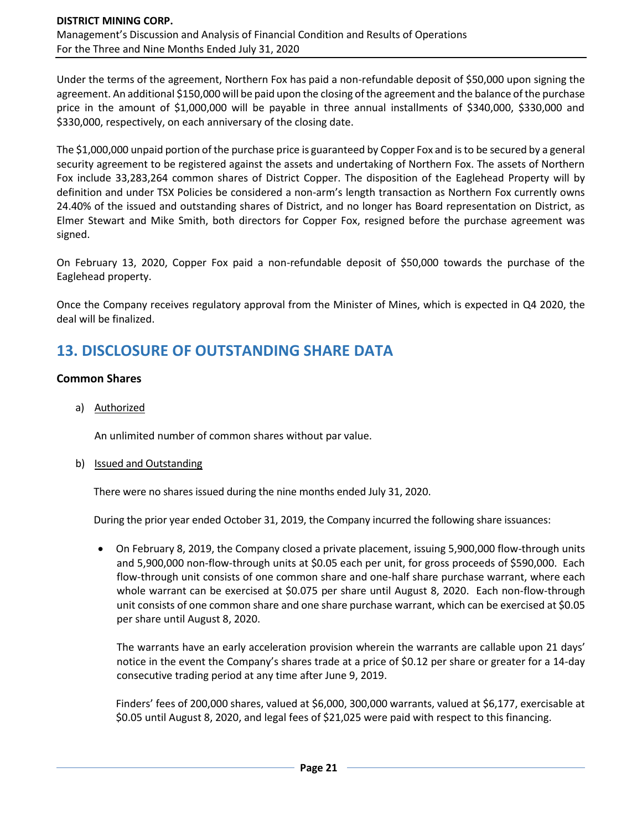Under the terms of the agreement, Northern Fox has paid a non-refundable deposit of \$50,000 upon signing the agreement. An additional \$150,000 will be paid upon the closing of the agreement and the balance of the purchase price in the amount of \$1,000,000 will be payable in three annual installments of \$340,000, \$330,000 and \$330,000, respectively, on each anniversary of the closing date.

The \$1,000,000 unpaid portion of the purchase price is guaranteed by Copper Fox and is to be secured by a general security agreement to be registered against the assets and undertaking of Northern Fox. The assets of Northern Fox include 33,283,264 common shares of District Copper. The disposition of the Eaglehead Property will by definition and under TSX Policies be considered a non-arm's length transaction as Northern Fox currently owns 24.40% of the issued and outstanding shares of District, and no longer has Board representation on District, as Elmer Stewart and Mike Smith, both directors for Copper Fox, resigned before the purchase agreement was signed.

On February 13, 2020, Copper Fox paid a non-refundable deposit of \$50,000 towards the purchase of the Eaglehead property.

Once the Company receives regulatory approval from the Minister of Mines, which is expected in Q4 2020, the deal will be finalized.

# **13. DISCLOSURE OF OUTSTANDING SHARE DATA**

### **Common Shares**

a) Authorized

An unlimited number of common shares without par value.

### b) Issued and Outstanding

There were no shares issued during the nine months ended July 31, 2020.

During the prior year ended October 31, 2019, the Company incurred the following share issuances:

• On February 8, 2019, the Company closed a private placement, issuing 5,900,000 flow-through units and 5,900,000 non-flow-through units at \$0.05 each per unit, for gross proceeds of \$590,000. Each flow-through unit consists of one common share and one-half share purchase warrant, where each whole warrant can be exercised at \$0.075 per share until August 8, 2020. Each non-flow-through unit consists of one common share and one share purchase warrant, which can be exercised at \$0.05 per share until August 8, 2020.

The warrants have an early acceleration provision wherein the warrants are callable upon 21 days' notice in the event the Company's shares trade at a price of \$0.12 per share or greater for a 14-day consecutive trading period at any time after June 9, 2019.

Finders' fees of 200,000 shares, valued at \$6,000, 300,000 warrants, valued at \$6,177, exercisable at \$0.05 until August 8, 2020, and legal fees of \$21,025 were paid with respect to this financing.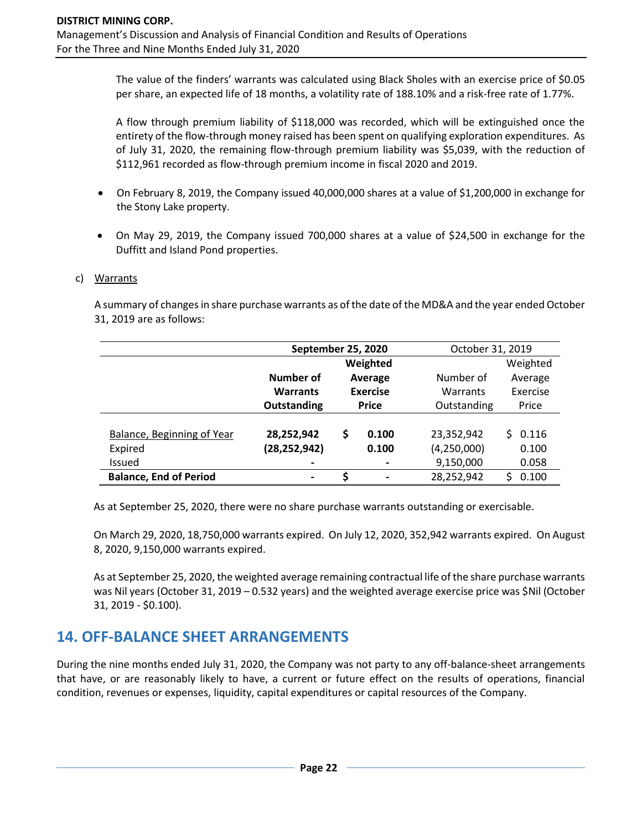The value of the finders' warrants was calculated using Black Sholes with an exercise price of \$0.05 per share, an expected life of 18 months, a volatility rate of 188.10% and a risk-free rate of 1.77%.

A flow through premium liability of \$118,000 was recorded, which will be extinguished once the entirety of the flow-through money raised has been spent on qualifying exploration expenditures. As of July 31, 2020, the remaining flow-through premium liability was \$5,039, with the reduction of \$112,961 recorded as flow-through premium income in fiscal 2020 and 2019.

- On February 8, 2019, the Company issued 40,000,000 shares at a value of \$1,200,000 in exchange for the Stony Lake property.
- On May 29, 2019, the Company issued 700,000 shares at a value of \$24,500 in exchange for the Duffitt and Island Pond properties.

#### c) Warrants

A summary of changes in share purchase warrants as of the date of the MD&A and the year ended October 31, 2019 are as follows:

|                               | September 25, 2020 |                 |          | October 31, 2019 |             |
|-------------------------------|--------------------|-----------------|----------|------------------|-------------|
|                               |                    |                 | Weighted |                  | Weighted    |
|                               | Number of          |                 | Average  | Number of        | Average     |
|                               | <b>Warrants</b>    | <b>Exercise</b> |          | Warrants         | Exercise    |
|                               | Outstanding        | <b>Price</b>    |          | Outstanding      | Price       |
|                               |                    |                 |          |                  |             |
| Balance, Beginning of Year    | 28,252,942         | \$              | 0.100    | 23,352,942       | 0.116<br>S. |
| Expired                       | (28, 252, 942)     |                 | 0.100    | (4,250,000)      | 0.100       |
| <b>Issued</b>                 |                    |                 |          | 9,150,000        | 0.058       |
| <b>Balance, End of Period</b> | $\blacksquare$     | ς               |          | 28,252,942       | 0.100       |

As at September 25, 2020, there were no share purchase warrants outstanding or exercisable.

On March 29, 2020, 18,750,000 warrants expired. On July 12, 2020, 352,942 warrants expired. On August 8, 2020, 9,150,000 warrants expired.

As at September 25, 2020, the weighted average remaining contractual life of the share purchase warrants was Nil years (October 31, 2019 – 0.532 years) and the weighted average exercise price was \$Nil (October 31, 2019 - \$0.100).

## **14. OFF-BALANCE SHEET ARRANGEMENTS**

During the nine months ended July 31, 2020, the Company was not party to any off-balance-sheet arrangements that have, or are reasonably likely to have, a current or future effect on the results of operations, financial condition, revenues or expenses, liquidity, capital expenditures or capital resources of the Company.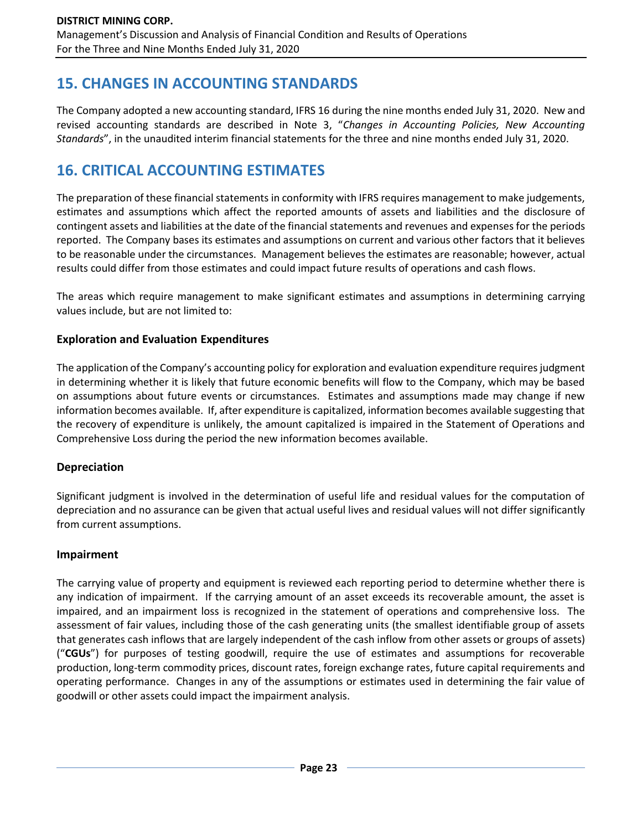# **15. CHANGES IN ACCOUNTING STANDARDS**

The Company adopted a new accounting standard, IFRS 16 during the nine months ended July 31, 2020. New and revised accounting standards are described in Note 3, "*Changes in Accounting Policies, New Accounting Standards*", in the unaudited interim financial statements for the three and nine months ended July 31, 2020.

# **16. CRITICAL ACCOUNTING ESTIMATES**

The preparation of these financial statements in conformity with IFRS requires management to make judgements, estimates and assumptions which affect the reported amounts of assets and liabilities and the disclosure of contingent assets and liabilities at the date of the financial statements and revenues and expenses for the periods reported. The Company bases its estimates and assumptions on current and various other factors that it believes to be reasonable under the circumstances. Management believes the estimates are reasonable; however, actual results could differ from those estimates and could impact future results of operations and cash flows.

The areas which require management to make significant estimates and assumptions in determining carrying values include, but are not limited to:

### **Exploration and Evaluation Expenditures**

The application of the Company's accounting policy for exploration and evaluation expenditure requires judgment in determining whether it is likely that future economic benefits will flow to the Company, which may be based on assumptions about future events or circumstances. Estimates and assumptions made may change if new information becomes available. If, after expenditure is capitalized, information becomes available suggesting that the recovery of expenditure is unlikely, the amount capitalized is impaired in the Statement of Operations and Comprehensive Loss during the period the new information becomes available.

### **Depreciation**

Significant judgment is involved in the determination of useful life and residual values for the computation of depreciation and no assurance can be given that actual useful lives and residual values will not differ significantly from current assumptions.

### **Impairment**

The carrying value of property and equipment is reviewed each reporting period to determine whether there is any indication of impairment. If the carrying amount of an asset exceeds its recoverable amount, the asset is impaired, and an impairment loss is recognized in the statement of operations and comprehensive loss. The assessment of fair values, including those of the cash generating units (the smallest identifiable group of assets that generates cash inflows that are largely independent of the cash inflow from other assets or groups of assets) ("**CGUs**") for purposes of testing goodwill, require the use of estimates and assumptions for recoverable production, long-term commodity prices, discount rates, foreign exchange rates, future capital requirements and operating performance. Changes in any of the assumptions or estimates used in determining the fair value of goodwill or other assets could impact the impairment analysis.